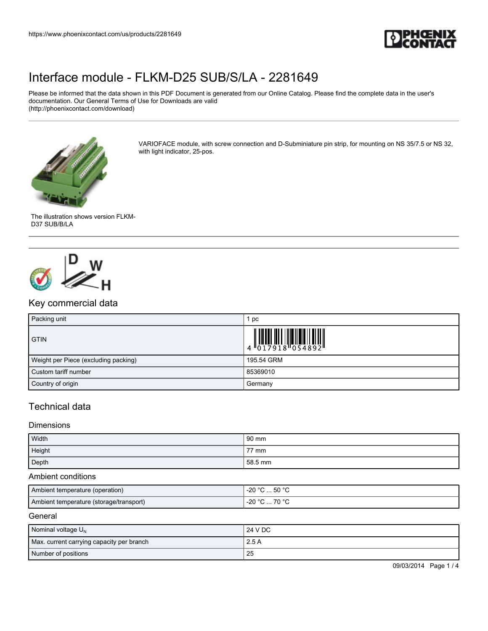

Please be informed that the data shown in this PDF Document is generated from our Online Catalog. Please find the complete data in the user's documentation. Our General Terms of Use for Downloads are valid (http://phoenixcontact.com/download)



VARIOFACE module, with screw connection and D-Subminiature pin strip, for mounting on NS 35/7.5 or NS 32, with light indicator, 25-pos.





## Key commercial data

| Packing unit                         | pc                                                      |
|--------------------------------------|---------------------------------------------------------|
| <b>GTIN</b>                          | $\left \begin{array}{c} 1 \\ 0 \\ 1 \end{array}\right.$ |
| Weight per Piece (excluding packing) | 195.54 GRM                                              |
| Custom tariff number                 | 85369010                                                |
| Country of origin                    | Germany                                                 |

## Technical data

#### Dimensions

| Width  | $90 \text{ mm}$ |
|--------|-----------------|
| Height | 77 mm           |
| Depth  | 58.5 mm         |

#### Ambient conditions

| Ambient temperature (operation)         | $-20$ °C  50 °C   |
|-----------------------------------------|-------------------|
| Ambient temperature (storage/transport) | 70 °C<br>$-20 °C$ |

#### **General**

| Nominal voltage $U_N$                     | 24 V DC |
|-------------------------------------------|---------|
| Max. current carrying capacity per branch | 2.5A    |
| Number of positions                       | 25      |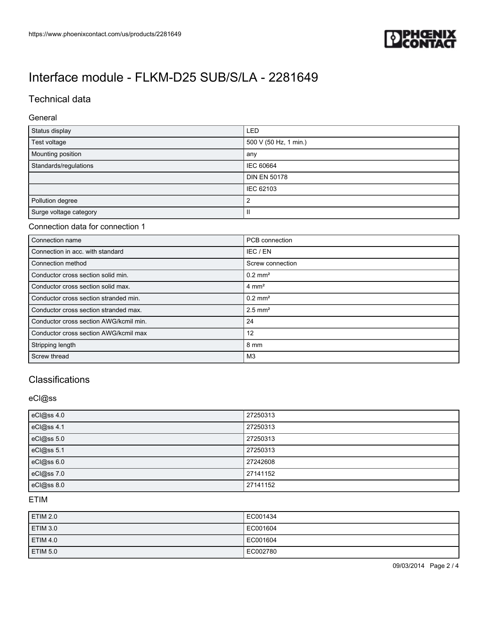

## Technical data

#### General

| Status display         | <b>LED</b>            |
|------------------------|-----------------------|
| Test voltage           | 500 V (50 Hz, 1 min.) |
| Mounting position      | any                   |
| Standards/regulations  | <b>IEC 60664</b>      |
|                        | <b>DIN EN 50178</b>   |
|                        | IEC 62103             |
| Pollution degree       | າ                     |
| Surge voltage category | Ш                     |

#### Connection data for connection 1

| Connection name                        | PCB connection        |
|----------------------------------------|-----------------------|
| Connection in acc. with standard       | IEC / EN              |
| Connection method                      | Screw connection      |
| Conductor cross section solid min.     | $0.2$ mm <sup>2</sup> |
| Conductor cross section solid max.     | $4 \text{ mm}^2$      |
| Conductor cross section stranded min.  | $0.2$ mm <sup>2</sup> |
| Conductor cross section stranded max.  | $2.5$ mm <sup>2</sup> |
| Conductor cross section AWG/kcmil min. | -24                   |
| Conductor cross section AWG/kcmil max  | 12                    |
| Stripping length                       | 8 mm                  |
| Screw thread                           | M <sub>3</sub>        |

## **Classifications**

#### eCl@ss

| eCl@ss 4.0 | 27250313 |
|------------|----------|
| eCl@ss 4.1 | 27250313 |
| eCl@ss 5.0 | 27250313 |
| eCl@ss 5.1 | 27250313 |
| eCl@ss 6.0 | 27242608 |
| eCl@ss 7.0 | 27141152 |
| eCl@ss 8.0 | 27141152 |

### ETIM

| ETIM 2.0        | EC001434 |
|-----------------|----------|
| <b>ETIM 3.0</b> | EC001604 |
| ETIM 4.0        | EC001604 |
| <b>ETIM 5.0</b> | EC002780 |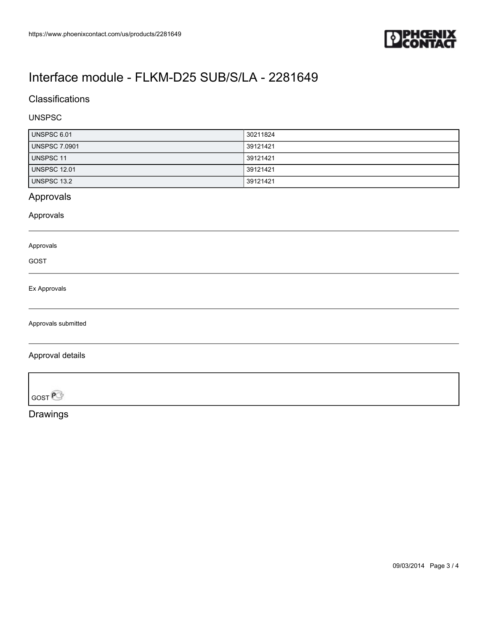

## **Classifications**

### UNSPSC

| UNSPSC 6.01          | 30211824 |
|----------------------|----------|
| <b>UNSPSC 7.0901</b> | 39121421 |
| UNSPSC 11            | 39121421 |
| <b>UNSPSC 12.01</b>  | 39121421 |
| UNSPSC 13.2          | 39121421 |

## Approvals

Approvals

#### Approvals

GOST

#### Ex Approvals

Approvals submitted

### Approval details

GOST<sup>P</sup>

Drawings